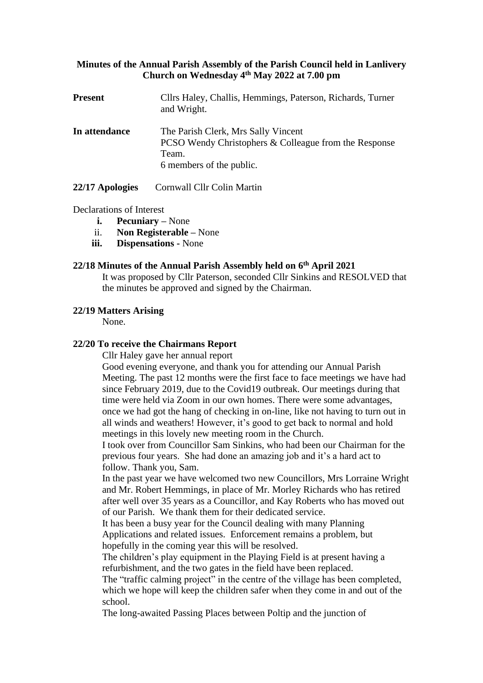# **Minutes of the Annual Parish Assembly of the Parish Council held in Lanlivery Church on Wednesday 4 th May 2022 at 7.00 pm**

| <b>Present</b> | Cllrs Haley, Challis, Hemmings, Paterson, Richards, Turner<br>and Wright.                                                         |
|----------------|-----------------------------------------------------------------------------------------------------------------------------------|
| In attendance  | The Parish Clerk, Mrs Sally Vincent<br>PCSO Wendy Christophers & Colleague from the Response<br>Team.<br>6 members of the public. |

22/17 **Apologies** Cornwall Cllr Colin Martin

# Declarations of Interest

- **i. Pecuniary –** None
- ii. **Non Registerable –** None
- **iii. Dispensations -** None

### **22/18 Minutes of the Annual Parish Assembly held on 6 th April 2021**

It was proposed by Cllr Paterson, seconded Cllr Sinkins and RESOLVED that the minutes be approved and signed by the Chairman.

### **22/19 Matters Arising**

None.

# **22/20 To receive the Chairmans Report**

Cllr Haley gave her annual report

Good evening everyone, and thank you for attending our Annual Parish Meeting. The past 12 months were the first face to face meetings we have had since February 2019, due to the Covid19 outbreak. Our meetings during that time were held via Zoom in our own homes. There were some advantages, once we had got the hang of checking in on-line, like not having to turn out in all winds and weathers! However, it's good to get back to normal and hold meetings in this lovely new meeting room in the Church.

I took over from Councillor Sam Sinkins, who had been our Chairman for the previous four years. She had done an amazing job and it's a hard act to follow. Thank you, Sam.

In the past year we have welcomed two new Councillors, Mrs Lorraine Wright and Mr. Robert Hemmings, in place of Mr. Morley Richards who has retired after well over 35 years as a Councillor, and Kay Roberts who has moved out of our Parish. We thank them for their dedicated service.

It has been a busy year for the Council dealing with many Planning Applications and related issues. Enforcement remains a problem, but hopefully in the coming year this will be resolved.

The children's play equipment in the Playing Field is at present having a refurbishment, and the two gates in the field have been replaced.

The "traffic calming project" in the centre of the village has been completed, which we hope will keep the children safer when they come in and out of the school.

The long-awaited Passing Places between Poltip and the junction of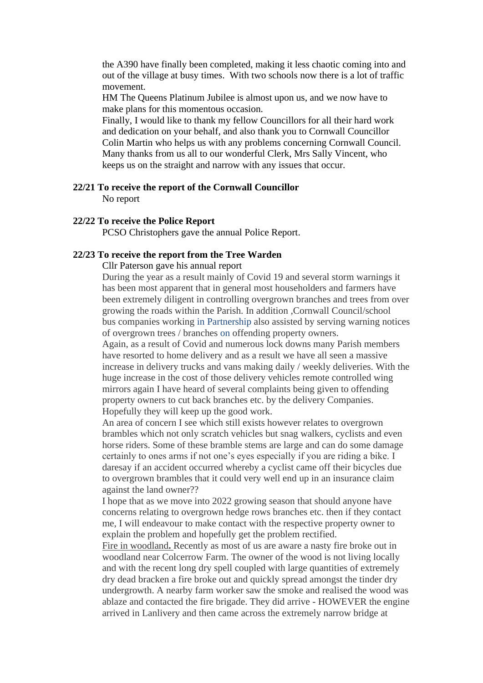the A390 have finally been completed, making it less chaotic coming into and out of the village at busy times. With two schools now there is a lot of traffic movement.

HM The Queens Platinum Jubilee is almost upon us, and we now have to make plans for this momentous occasion.

Finally, I would like to thank my fellow Councillors for all their hard work and dedication on your behalf, and also thank you to Cornwall Councillor Colin Martin who helps us with any problems concerning Cornwall Council. Many thanks from us all to our wonderful Clerk, Mrs Sally Vincent, who keeps us on the straight and narrow with any issues that occur.

#### **22/21 To receive the report of the Cornwall Councillor**

No report

### **22/22 To receive the Police Report**

PCSO Christophers gave the annual Police Report.

## **22/23 To receive the report from the Tree Warden**

### Cllr Paterson gave his annual report

During the year as a result mainly of Covid 19 and several storm warnings it has been most apparent that in general most householders and farmers have been extremely diligent in controlling overgrown branches and trees from over growing the roads within the Parish. In addition ,Cornwall Council/school bus companies working in Partnership also assisted by serving warning notices of overgrown trees / branches on offending property owners.

Again, as a result of Covid and numerous lock downs many Parish members have resorted to home delivery and as a result we have all seen a massive increase in delivery trucks and vans making daily / weekly deliveries. With the huge increase in the cost of those delivery vehicles remote controlled wing mirrors again I have heard of several complaints being given to offending property owners to cut back branches etc. by the delivery Companies. Hopefully they will keep up the good work.

An area of concern I see which still exists however relates to overgrown brambles which not only scratch vehicles but snag walkers, cyclists and even horse riders. Some of these bramble stems are large and can do some damage certainly to ones arms if not one's eyes especially if you are riding a bike. I daresay if an accident occurred whereby a cyclist came off their bicycles due to overgrown brambles that it could very well end up in an insurance claim against the land owner??

I hope that as we move into 2022 growing season that should anyone have concerns relating to overgrown hedge rows branches etc. then if they contact me, I will endeavour to make contact with the respective property owner to explain the problem and hopefully get the problem rectified.

Fire in woodland**.** Recently as most of us are aware a nasty fire broke out in woodland near Colcerrow Farm. The owner of the wood is not living locally and with the recent long dry spell coupled with large quantities of extremely dry dead bracken a fire broke out and quickly spread amongst the tinder dry undergrowth. A nearby farm worker saw the smoke and realised the wood was ablaze and contacted the fire brigade. They did arrive - HOWEVER the engine arrived in Lanlivery and then came across the extremely narrow bridge at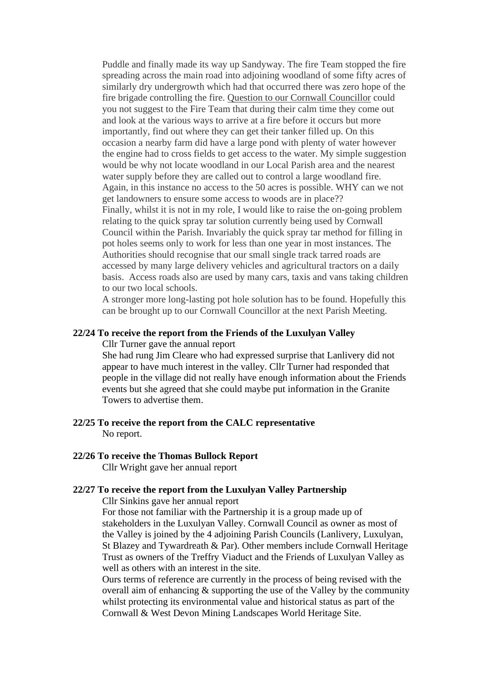Puddle and finally made its way up Sandyway. The fire Team stopped the fire spreading across the main road into adjoining woodland of some fifty acres of similarly dry undergrowth which had that occurred there was zero hope of the fire brigade controlling the fire. Question to our Cornwall Councillor could you not suggest to the Fire Team that during their calm time they come out and look at the various ways to arrive at a fire before it occurs but more importantly, find out where they can get their tanker filled up. On this occasion a nearby farm did have a large pond with plenty of water however the engine had to cross fields to get access to the water. My simple suggestion would be why not locate woodland in our Local Parish area and the nearest water supply before they are called out to control a large woodland fire. Again, in this instance no access to the 50 acres is possible. WHY can we not get landowners to ensure some access to woods are in place?? Finally, whilst it is not in my role, I would like to raise the on-going problem relating to the quick spray tar solution currently being used by Cornwall Council within the Parish. Invariably the quick spray tar method for filling in pot holes seems only to work for less than one year in most instances. The Authorities should recognise that our small single track tarred roads are accessed by many large delivery vehicles and agricultural tractors on a daily basis. Access roads also are used by many cars, taxis and vans taking children to our two local schools.

A stronger more long-lasting pot hole solution has to be found. Hopefully this can be brought up to our Cornwall Councillor at the next Parish Meeting.

### **22/24 To receive the report from the Friends of the Luxulyan Valley**

Cllr Turner gave the annual report

She had rung Jim Cleare who had expressed surprise that Lanlivery did not appear to have much interest in the valley. Cllr Turner had responded that people in the village did not really have enough information about the Friends events but she agreed that she could maybe put information in the Granite Towers to advertise them.

**22/25 To receive the report from the CALC representative** No report.

#### **22/26 To receive the Thomas Bullock Report**

Cllr Wright gave her annual report

## **22/27 To receive the report from the Luxulyan Valley Partnership**

Cllr Sinkins gave her annual report

For those not familiar with the Partnership it is a group made up of stakeholders in the Luxulyan Valley. Cornwall Council as owner as most of the Valley is joined by the 4 adjoining Parish Councils (Lanlivery, Luxulyan, St Blazey and Tywardreath & Par). Other members include Cornwall Heritage Trust as owners of the Treffry Viaduct and the Friends of Luxulyan Valley as well as others with an interest in the site.

Ours terms of reference are currently in the process of being revised with the overall aim of enhancing  $\&$  supporting the use of the Valley by the community whilst protecting its environmental value and historical status as part of the Cornwall & West Devon Mining Landscapes World Heritage Site.